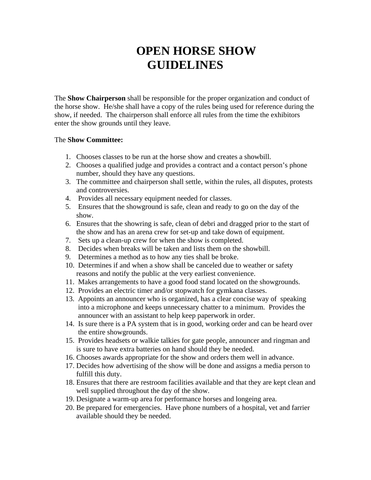# **OPEN HORSE SHOW GUIDELINES**

The **Show Chairperson** shall be responsible for the proper organization and conduct of the horse show. He/she shall have a copy of the rules being used for reference during the show, if needed. The chairperson shall enforce all rules from the time the exhibitors enter the show grounds until they leave.

### The **Show Committee:**

- 1. Chooses classes to be run at the horse show and creates a showbill.
- 2. Chooses a qualified judge and provides a contract and a contact person's phone number, should they have any questions.
- 3. The committee and chairperson shall settle, within the rules, all disputes, protests and controversies.
- 4. Provides all necessary equipment needed for classes.
- 5. Ensures that the showground is safe, clean and ready to go on the day of the show.
- 6. Ensures that the showring is safe, clean of debri and dragged prior to the start of the show and has an arena crew for set-up and take down of equipment.
- 7. Sets up a clean-up crew for when the show is completed.
- 8. Decides when breaks will be taken and lists them on the showbill.
- 9. Determines a method as to how any ties shall be broke.
- 10. Determines if and when a show shall be canceled due to weather or safety reasons and notify the public at the very earliest convenience.
- 11. Makes arrangements to have a good food stand located on the showgrounds.
- 12. Provides an electric timer and/or stopwatch for gymkana classes.
- 13. Appoints an announcer who is organized, has a clear concise way of speaking into a microphone and keeps unnecessary chatter to a minimum. Provides the announcer with an assistant to help keep paperwork in order.
- 14. Is sure there is a PA system that is in good, working order and can be heard over the entire showgrounds.
- 15. Provides headsets or walkie talkies for gate people, announcer and ringman and is sure to have extra batteries on hand should they be needed.
- 16. Chooses awards appropriate for the show and orders them well in advance.
- 17. Decides how advertising of the show will be done and assigns a media person to fulfill this duty.
- 18. Ensures that there are restroom facilities available and that they are kept clean and well supplied throughout the day of the show.
- 19. Designate a warm-up area for performance horses and longeing area.
- 20. Be prepared for emergencies. Have phone numbers of a hospital, vet and farrier available should they be needed.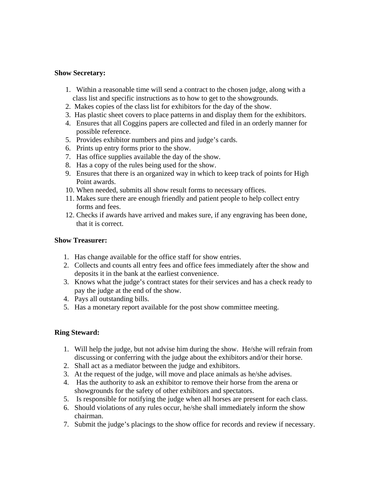#### **Show Secretary:**

- 1. Within a reasonable time will send a contract to the chosen judge, along with a class list and specific instructions as to how to get to the showgrounds.
- 2. Makes copies of the class list for exhibitors for the day of the show.
- 3. Has plastic sheet covers to place patterns in and display them for the exhibitors.
- 4. Ensures that all Coggins papers are collected and filed in an orderly manner for possible reference.
- 5. Provides exhibitor numbers and pins and judge's cards.
- 6. Prints up entry forms prior to the show.
- 7. Has office supplies available the day of the show.
- 8. Has a copy of the rules being used for the show.
- 9. Ensures that there is an organized way in which to keep track of points for High Point awards.
- 10. When needed, submits all show result forms to necessary offices.
- 11. Makes sure there are enough friendly and patient people to help collect entry forms and fees.
- 12. Checks if awards have arrived and makes sure, if any engraving has been done, that it is correct.

### **Show Treasurer:**

- 1. Has change available for the office staff for show entries.
- 2. Collects and counts all entry fees and office fees immediately after the show and deposits it in the bank at the earliest convenience.
- 3. Knows what the judge's contract states for their services and has a check ready to pay the judge at the end of the show.
- 4. Pays all outstanding bills.
- 5. Has a monetary report available for the post show committee meeting.

### **Ring Steward:**

- 1. Will help the judge, but not advise him during the show. He/she will refrain from discussing or conferring with the judge about the exhibitors and/or their horse.
- 2. Shall act as a mediator between the judge and exhibitors.
- 3. At the request of the judge, will move and place animals as he/she advises.
- 4. Has the authority to ask an exhibitor to remove their horse from the arena or showgrounds for the safety of other exhibitors and spectators.
- 5. Is responsible for notifying the judge when all horses are present for each class.
- 6. Should violations of any rules occur, he/she shall immediately inform the show chairman.
- 7. Submit the judge's placings to the show office for records and review if necessary.